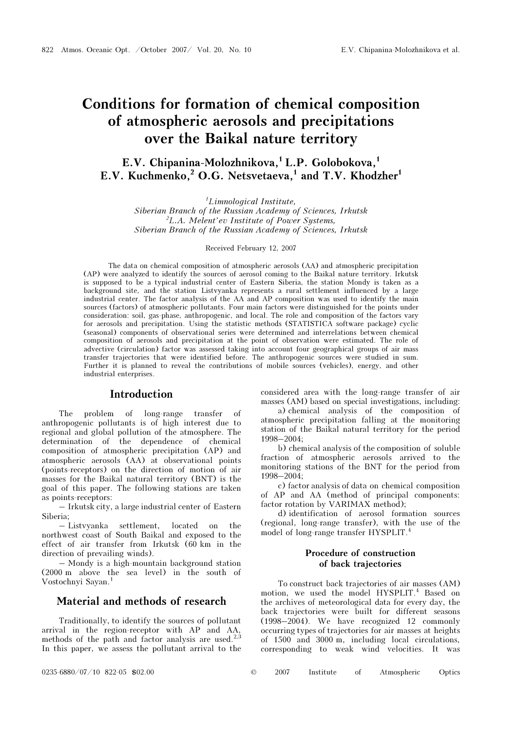# Conditions for formation of chemical composition of atmospheric aerosols and precipitations over the Baikal nature territory

## E.V. Chipanina-Molozhnikova, ${}^{1}$  L.P. Golobokova, ${}^{1}$ E.V. Kuchmenko.<sup>2</sup> O.G. Netsvetaeva.<sup>1</sup> and T.V. Khodzher<sup>1</sup>

1 Limnological Institute, Siberian Branch of the Russian Academy of Sciences, Irkutsk <sup>2</sup>L.A. Melent'ev Institute of Power Systems, Siberian Branch of the Russian Academy of Sciences, Irkutsk

Received February 12, 2007

The data on chemical composition of atmospheric aerosols (AA) and atmospheric precipitation (AP) were analyzed to identify the sources of aerosol coming to the Baikal nature territory. Irkutsk is supposed to be a typical industrial center of Eastern Siberia, the station Mondy is taken as a background site, and the station Listvyanka represents a rural settlement influenced by a large industrial center. The factor analysis of the AA and AP composition was used to identify the main sources (factors) of atmospheric pollutants. Four main factors were distinguished for the points under consideration: soil, gas-phase, anthropogenic, and local. The role and composition of the factors vary for aerosols and precipitation. Using the statistic methods (STATISTICA software package) cyclic (seasonal) components of observational series were determined and interrelations between chemical composition of aerosols and precipitation at the point of observation were estimated. The role of advective (circulation) factor was assessed taking into account four geographical groups of air mass transfer trajectories that were identified before. The anthropogenic sources were studied in sum. Further it is planned to reveal the contributions of mobile sources (vehicles), energy, and other industrial enterprises.

## Introduction

The problem of long-range transfer of anthropogenic pollutants is of high interest due to regional and global pollution of the atmosphere. The determination of the dependence of chemical composition of atmospheric precipitation (AP) and atmospheric aerosols (AA) at observational points (points-receptors) on the direction of motion of air masses for the Baikal natural territory (BNT) is the goal of this paper. The following stations are taken as points-receptors:

– Irkutsk city, a large industrial center of Eastern Siberia;

– Listvyanka settlement, located on the northwest coast of South Baikal and exposed to the effect of air transfer from Irkutsk (60 km in the direction of prevailing winds).

– Mondy is a high-mountain background station (2000 m above the sea level) in the south of Vostochnyi Sayan.<sup>1</sup>

## Material and methods of research

Traditionally, to identify the sources of pollutant arrival in the region-receptor with AP and AA, methods of the path and factor analysis are used. $^{2,3}$ In this paper, we assess the pollutant arrival to the

considered area with the long-range transfer of air masses (AM) based on special investigations, including:

 a) chemical analysis of the composition of atmospheric precipitation falling at the monitoring station of the Baikal natural territory for the period 1998–2004;

b) chemical analysis of the composition of soluble fraction of atmospheric aerosols arrived to the monitoring stations of the BNT for the period from 1998–2004;

c) factor analysis of data on chemical composition of AP and AA (method of principal components: factor rotation by VARIMAX method);

d) identification of aerosol formation sources (regional, long-range transfer), with the use of the model of long-range transfer HYSPLIT.<sup>4</sup>

## Procedure of construction of back trajectories

To construct back trajectories of air masses (AM) motion, we used the model HYSPLIT.<sup>4</sup> Based on the archives of meteorological data for every day, the back trajectories were built for different seasons (1998–2004). We have recognized 12 commonly occurring types of trajectories for air masses at heights of 1500 and 3000 m, including local circulations, corresponding to weak wind velocities. It was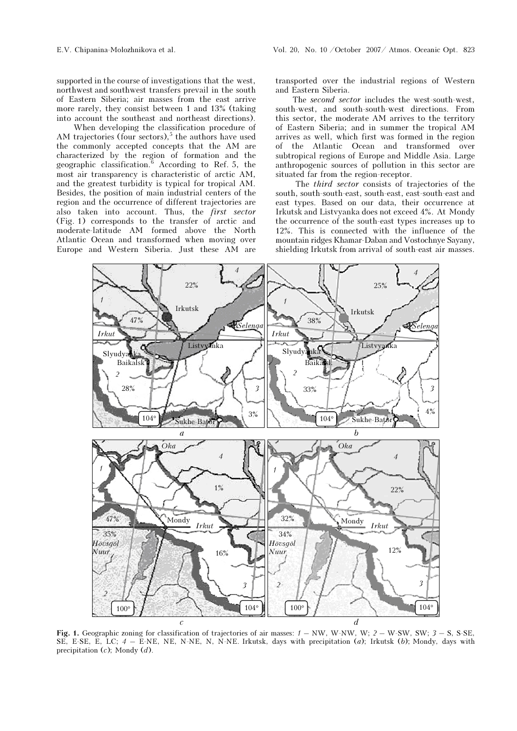supported in the course of investigations that the west, northwest and southwest transfers prevail in the south of Eastern Siberia; air masses from the east arrive more rarely, they consist between 1 and 13% (taking into account the southeast and northeast directions).

 When developing the classification procedure of AM trajectories (four sectors), $5$  the authors have used the commonly accepted concepts that the AM are characterized by the region of formation and the geographic classification.<sup>6</sup> According to Ref. 5, the most air transparency is characteristic of arctic AM, and the greatest turbidity is typical for tropical AM. Besides, the position of main industrial centers of the region and the occurrence of different trajectories are also taken into account. Thus, the first sector (Fig. 1) corresponds to the transfer of arctic and moderate-latitude AM formed above the North Atlantic Ocean and transformed when moving over Europe and Western Siberia. Just these AM are

transported over the industrial regions of Western and Eastern Siberia.

The second sector includes the west-south-west, south-west, and south-south-west directions. From this sector, the moderate AM arrives to the territory of Eastern Siberia; and in summer the tropical AM arrives as well, which first was formed in the region of the Atlantic Ocean and transformed over subtropical regions of Europe and Middle Asia. Large anthropogenic sources of pollution in this sector are situated far from the region-receptor.

 The third sector consists of trajectories of the south, south-south-east, south-east, east-south-east and east types. Based on our data, their occurrence at Irkutsk and Listvyanka does not exceed 4%. At Mondy the occurrence of the south-east types increases up to 12%. This is connected with the influence of the mountain ridges Khamar-Daban and Vostochnye Sayany, shielding Irkutsk from arrival of south-east air masses.



Fig. 1. Geographic zoning for classification of trajectories of air masses:  $1 - NW$ , W-NW, W;  $2 - W-SW$ , SW;  $3 - S$ , S-SE, SE, E-SE, E, LC;  $4 -$  E-NE, NE, N-NE, N, N-NE. Irkutsk, days with precipitation (a); Irkutsk (b); Mondy, days with precipitation  $(c)$ ; Mondy  $(d)$ .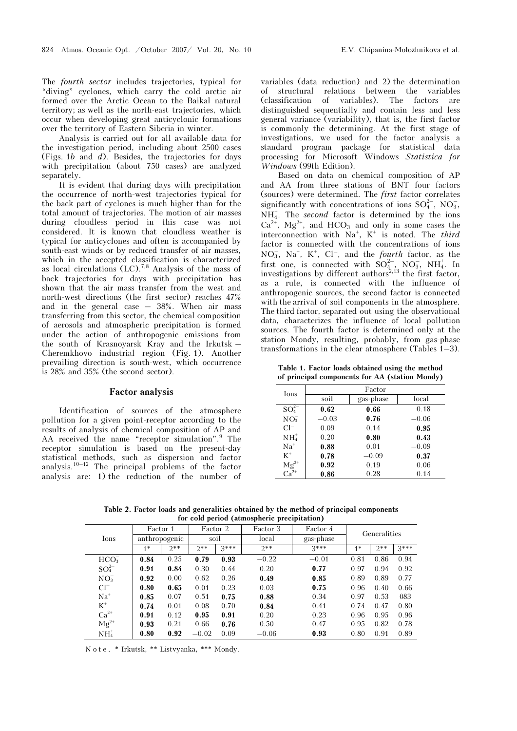The fourth sector includes trajectories, typical for "diving" cyclones, which carry the cold arctic air formed over the Arctic Ocean to the Baikal natural territory; as well as the north-east trajectories, which occur when developing great anticyclonic formations over the territory of Eastern Siberia in winter.

Analysis is carried out for all available data for the investigation period, including about 2500 cases (Figs. 1b and d). Besides, the trajectories for days with precipitation (about 750 cases) are analyzed separately.

It is evident that during days with precipitation the occurrence of north-west trajectories typical for the back part of cyclones is much higher than for the total amount of trajectories. The motion of air masses during cloudless period in this case was not considered. It is known that cloudless weather is typical for anticyclones and often is accompanied by south-east winds or by reduced transfer of air masses, which in the accepted classification is characterized as local circulations  $(LC)^{7,8}$  Analysis of the mass of back trajectories for days with precipitation has shown that the air mass transfer from the west and north-west directions (the first sector) reaches 47% and in the general case – 38%. When air mass transferring from this sector, the chemical composition of aerosols and atmospheric precipitation is formed under the action of anthropogenic emissions from the south of Krasnoyarsk Kray and the Irkutsk – Cheremkhovo industrial region (Fig. 1). Another prevailing direction is south-west, which occurrence is 28% and 35% (the second sector).

### Factor analysis

Identification of sources of the atmosphere pollution for a given point-receptor according to the results of analysis of chemical composition of AP and AA received the name "receptor simulation".<sup>9</sup> The receptor simulation is based on the present-day statistical methods, such as dispersion and factor analysis.<sup>10–12</sup> The principal problems of the factor analysis are: 1) the reduction of the number of

variables (data reduction) and 2) the determination of structural relations between the variables (classification of variables). The factors are distinguished sequentially and contain less and less general variance (variability), that is, the first factor is commonly the determining. At the first stage of investigations, we used for the factor analysis a standard program package for statistical data processing for Microsoft Windows Statistica for Windows (99th Edition).

Based on data on chemical composition of AP and AA from three stations of BNT four factors (sources) were determined. The first factor correlates significantly with concentrations of ions  $SO_4^{2-}$ , NO<sub>3</sub>,  $NH_4^+$ . The *second* factor is determined by the ions  $Ca^{2+}$ ,  $Mg^{2+}$ , and  $HCO_3^-$  and only in some cases the interconnection with  $Na^+$ ,  $K^+$  is noted. The *third* factor is connected with the concentrations of ions  $NO<sub>3</sub>$ ,  $Na<sup>+</sup>$ ,  $K<sup>+</sup>$ ,  $Cl<sup>-</sup>$ , and the *fourth* factor, as the first one, is connected with  $SO_4^{2-}$ , NO<sub>3</sub>, NH<sub>4</sub>. In investigations by different authors<sup>2,13</sup> the first factor, as a rule, is connected with the influence of anthropogenic sources, the second factor is connected with the arrival of soil components in the atmosphere. The third factor, separated out using the observational data, characterizes the influence of local pollution sources. The fourth factor is determined only at the station Mondy, resulting, probably, from gas-phase transformations in the clear atmosphere (Tables 1–3).

Table 1. Factor loads obtained using the method of principal components for ÀÀ (station Mondy)

| Ions                          | Factor  |           |         |  |  |  |  |  |
|-------------------------------|---------|-----------|---------|--|--|--|--|--|
|                               | soil    | gas-phase | local   |  |  |  |  |  |
| $SO_4^{2-}$                   | 0.62    | 0.66      | 0.18    |  |  |  |  |  |
| $NO_3^-$                      | $-0.03$ | 0.76      | $-0.06$ |  |  |  |  |  |
| $Cl^-$                        | 0.09    | 0.14      | 0.95    |  |  |  |  |  |
| $NH4+$                        | 0.20    | 0.80      | 0.43    |  |  |  |  |  |
| $Na+$                         | 0.88    | 0.01      | $-0.09$ |  |  |  |  |  |
| $K^+$                         | 0.78    | $-0.09$   | 0.37    |  |  |  |  |  |
| $Mg^{2+}$<br>Ca <sup>2+</sup> | 0.92    | 0.19      | 0.06    |  |  |  |  |  |
|                               | 0.86    | 0.28      | 0.14    |  |  |  |  |  |

Table 2. Factor loads and generalities obtained by the method of principal components for cold period (atmospheric precipitation)

|                   |                       |       |          |        | Factor 3 | Factor 4  |              |       |        |
|-------------------|-----------------------|-------|----------|--------|----------|-----------|--------------|-------|--------|
|                   | Factor 1              |       | Factor 2 |        |          |           | Generalities |       |        |
|                   | Ions<br>anthropogenic |       | soil     |        | local    | gas-phase |              |       |        |
|                   | $\star$               | $2**$ | $2**$    | $3***$ | $2**$    | $3***$    | $1 *$        | $2**$ | $3***$ |
| HCO <sub>3</sub>  | 0.84                  | 0.25  | 0.79     | 0.93   | $-0.22$  | $-0.01$   | 0.81         | 0.86  | 0.94   |
| $SO_4^{2-}$       | 0.91                  | 0.84  | 0.30     | 0.44   | 0.20     | 0.77      | 0.97         | 0.94  | 0.92   |
| $NO_3^-$          | 0.92                  | 0.00  | 0.62     | 0.26   | 0.49     | 0.85      | 0.89         | 0.89  | 0.77   |
| $Cl^-$            | 0.80                  | 0.65  | 0.01     | 0.23   | 0.03     | 0.75      | 0.96         | 0.40  | 0.66   |
| $Na+$             | 0.85                  | 0.07  | 0.51     | 0.75   | 0.88     | 0.34      | 0.97         | 0.53  | 083    |
| $K^+$             | 0.74                  | 0.01  | 0.08     | 0.70   | 0.84     | 0.41      | 0.74         | 0.47  | 0.80   |
| $Ca^{2+}$         | 0.91                  | 0.12  | 0.95     | 0.91   | 0.20     | 0.23      | 0.96         | 0.95  | 0.96   |
| $Mg^{2+}$         | 0.93                  | 0.21  | 0.66     | 0.76   | 0.50     | 0.47      | 0.95         | 0.82  | 0.78   |
| $\mathrm{NH}_4^+$ | 0.80                  | 0.92  | $-0.02$  | 0.09   | $-0.06$  | 0.93      | 0.80         | 0.91  | 0.89   |

N o t e . \* Irkutsk, \*\* Listvyanka, \*\*\* Mondy.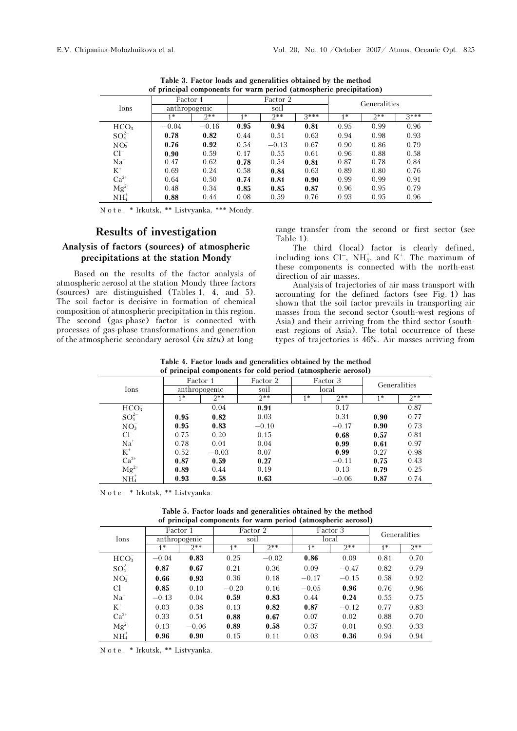|                  | Factor 1      |         | Factor 2 |         |        | Generalities |       |        |
|------------------|---------------|---------|----------|---------|--------|--------------|-------|--------|
| Ions             | anthropogenic |         | soil     |         |        |              |       |        |
|                  | $1 *$         | $2**$   | 1 米      | $7**$   | $3***$ | $4*$         | $2**$ | $3***$ |
| HCO <sub>3</sub> | $-0.04$       | $-0.16$ | 0.95     | 0.94    | 0.81   | 0.95         | 0.99  | 0.96   |
| $SO_4^{2-}$      | 0.78          | 0.82    | 0.44     | 0.51    | 0.63   | 0.94         | 0.98  | 0.93   |
| NO <sub>3</sub>  | 0.76          | 0.92    | 0.54     | $-0.13$ | 0.67   | 0.90         | 0.86  | 0.79   |
| $Cl^-$           | 0.90          | 0.59    | 0.17     | 0.55    | 0.61   | 0.96         | 0.88  | 0.58   |
| $Na+$            | 0.47          | 0.62    | 0.78     | 0.54    | 0.81   | 0.87         | 0.78  | 0.84   |
| $K^+$            | 0.69          | 0.24    | 0.58     | 0.84    | 0.63   | 0.89         | 0.80  | 0.76   |
| $Ca^{2+}$        | 0.64          | 0.50    | 0.74     | 0.81    | 0.90   | 0.99         | 0.99  | 0.91   |
| $Mg^{2+}$        | 0.48          | 0.34    | 0.85     | 0.85    | 0.87   | 0.96         | 0.95  | 0.79   |
| $NH4+$           | 0.88          | 0.44    | 0.08     | 0.59    | 0.76   | 0.93         | 0.95  | 0.96   |
|                  |               |         |          |         |        |              |       |        |

Table 3. Factor loads and generalities obtained by the method of principal components for warm period (atmospheric precipitation)

N o t e . \* Irkutsk, \*\* Listvyanka, \*\*\* Mondy.

## Analysis of factors (sources) of atmospheric precipitations at the station Mondy

Based on the results of the factor analysis of atmospheric aerosol at the station Mondy three factors (sources) are distinguished (Tables 1, 4, and 5). The soil factor is decisive in formation of chemical composition of atmospheric precipitation in this region. The second (gas-phase) factor is connected with processes of gas-phase transformations and generation of the atmospheric secondary aerosol (in situ) at longrange transfer from the second or first sector (see Table 1).

The third (local) factor is clearly defined, including ions  $Cl^-$ ,  $NH_4^+$ , and  $K^+$ . The maximum of these components is connected with the north-east direction of air masses.

Analysis of trajectories of air mass transport with accounting for the defined factors (see Fig. 1) has shown that the soil factor prevails in transporting air masses from the second sector (south-west regions of Asia) and their arriving from the third sector (southeast regions of Asia). The total occurrence of these types of trajectories is 46%. Air masses arriving from

| Table 4. Factor loads and generalities obtained by the method |  |  |
|---------------------------------------------------------------|--|--|
| of principal components for cold period (atmospheric aerosol) |  |  |

| $\sqrt{2}$         |          |               |          |          |         |              |       |  |  |  |
|--------------------|----------|---------------|----------|----------|---------|--------------|-------|--|--|--|
|                    | Factor 1 |               | Factor 2 | Factor 3 |         | Generalities |       |  |  |  |
| Ions               |          | anthropogenic | soil     |          | local   |              |       |  |  |  |
|                    | $1*$     | $2**$         | $2**$    | 1 米      | $2**$   | $1*$         | $2**$ |  |  |  |
| HCO <sub>3</sub>   |          | 0.04          | 0.91     |          | 0.17    |              | 0.87  |  |  |  |
| $SO_4^{2-}$        | 0.95     | 0.82          | 0.03     |          | 0.31    | 0.90         | 0.77  |  |  |  |
| $NO_3^-$           | 0.95     | 0.83          | $-0.10$  |          | $-0.17$ | 0.90         | 0.73  |  |  |  |
| $Cl^-$             | 0.75     | 0.20          | 0.15     |          | 0.68    | 0.57         | 0.81  |  |  |  |
| $Na+$              | 0.78     | 0.01          | 0.04     |          | 0.99    | 0.61         | 0.97  |  |  |  |
| $K^+$              | 0.52     | $-0.03$       | 0.07     |          | 0.99    | 0.27         | 0.98  |  |  |  |
| $\mathrm{Ca}^{2+}$ | 0.87     | 0.59          | 0.27     |          | $-0.11$ | 0.75         | 0.43  |  |  |  |
| $Mg^{2+}$          | 0.89     | 0.44          | 0.19     |          | 0.13    | 0.79         | 0.25  |  |  |  |
| $NH4+$             | 0.93     | 0.58          | 0.63     |          | $-0.06$ | 0.87         | 0.74  |  |  |  |

N o t e . \* Irkutsk, \*\* Listvyanka.

 Table 5. Factor loads and generalities obtained by the method of principal components for warm period (atmospheric aerosol)

|                    | Factor 1      |         | Factor 2 |         | Factor 3 |         | Generalities |       |
|--------------------|---------------|---------|----------|---------|----------|---------|--------------|-------|
| Ions               | anthropogenic |         | soil     |         | local    |         |              |       |
|                    | 1 *           | $2**$   | $1*$     | $2**$   | $1*$     | $2**$   | $1*$         | $2**$ |
| HCO <sub>3</sub>   | $-0.04$       | 0.83    | 0.25     | $-0.02$ | 0.86     | 0.09    | 0.81         | 0.70  |
| $SO_{4}^{2-}$      | 0.87          | 0.67    | 0.21     | 0.36    | 0.09     | $-0.47$ | 0.82         | 0.79  |
| $NO3-$             | 0.66          | 0.93    | 0.36     | 0.18    | $-0.17$  | $-0.15$ | 0.58         | 0.92  |
| $Cl^-$             | 0.85          | 0.10    | $-0.20$  | 0.16    | $-0.05$  | 0.96    | 0.76         | 0.96  |
| $Na+$              | $-0.13$       | 0.04    | 0.59     | 0.83    | 0.44     | 0.24    | 0.55         | 0.75  |
| $K^+$              | 0.03          | 0.38    | 0.13     | 0.82    | 0.87     | $-0.12$ | 0.77         | 0.83  |
| $\mathrm{Ca}^{2+}$ | 0.33          | 0.51    | 0.88     | 0.67    | 0.07     | 0.02    | 0.88         | 0.70  |
| $Mg^{2+}$          | 0.13          | $-0.06$ | 0.89     | 0.58    | 0.37     | 0.01    | 0.93         | 0.33  |
| $NH4+$             | 0.96          | 0.90    | 0.15     | 0.11    | 0.03     | 0.36    | 0.94         | 0.94  |

N o t e . \* Irkutsk, \*\* Listvyanka.